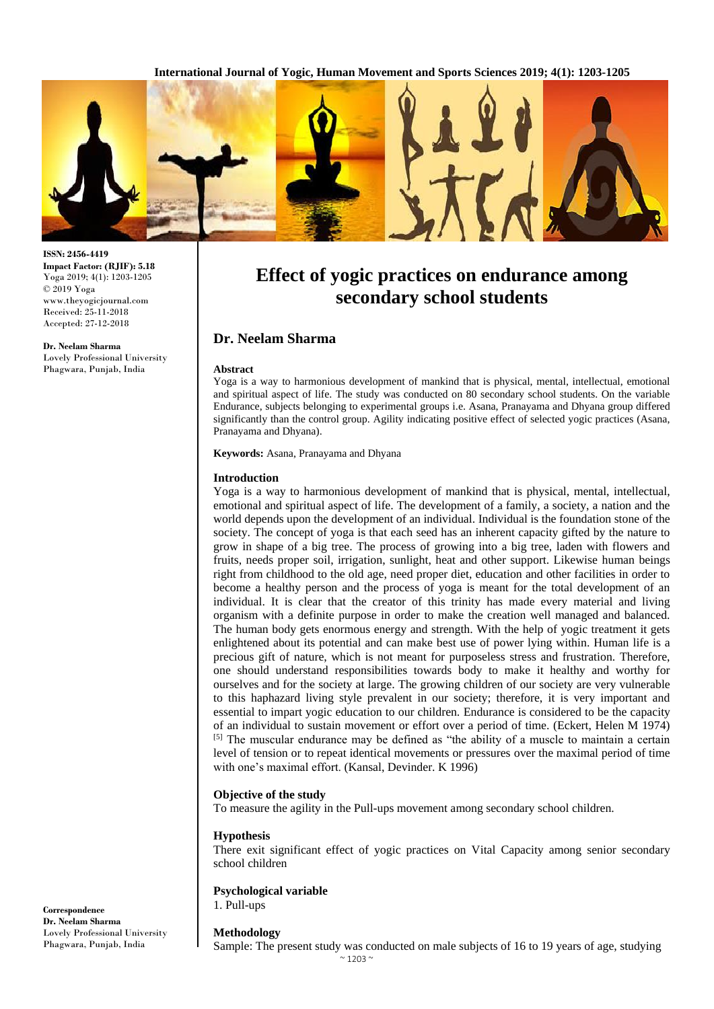**International Journal of Yogic, Human Movement and Sports Sciences 2019; 4(1): 1203-1205**



**ISSN: 2456-4419 Impact Factor: (RJIF): 5.18** Yoga 2019; 4(1): 1203-1205 © 2019 Yoga www.theyogicjournal.com Received: 25-11-2018 Accepted: 27-12-2018

**Dr. Neelam Sharma** Lovely Professional University Phagwara, Punjab, India

# **Effect of yogic practices on endurance among secondary school students**

# **Dr. Neelam Sharma**

#### **Abstract**

Yoga is a way to harmonious development of mankind that is physical, mental, intellectual, emotional and spiritual aspect of life. The study was conducted on 80 secondary school students. On the variable Endurance, subjects belonging to experimental groups i.e. Asana, Pranayama and Dhyana group differed significantly than the control group. Agility indicating positive effect of selected yogic practices (Asana, Pranayama and Dhyana).

**Keywords:** Asana, Pranayama and Dhyana

#### **Introduction**

Yoga is a way to harmonious development of mankind that is physical, mental, intellectual, emotional and spiritual aspect of life. The development of a family, a society, a nation and the world depends upon the development of an individual. Individual is the foundation stone of the society. The concept of yoga is that each seed has an inherent capacity gifted by the nature to grow in shape of a big tree. The process of growing into a big tree, laden with flowers and fruits, needs proper soil, irrigation, sunlight, heat and other support. Likewise human beings right from childhood to the old age, need proper diet, education and other facilities in order to become a healthy person and the process of yoga is meant for the total development of an individual. It is clear that the creator of this trinity has made every material and living organism with a definite purpose in order to make the creation well managed and balanced. The human body gets enormous energy and strength. With the help of yogic treatment it gets enlightened about its potential and can make best use of power lying within. Human life is a precious gift of nature, which is not meant for purposeless stress and frustration. Therefore, one should understand responsibilities towards body to make it healthy and worthy for ourselves and for the society at large. The growing children of our society are very vulnerable to this haphazard living style prevalent in our society; therefore, it is very important and essential to impart yogic education to our children. Endurance is considered to be the capacity of an individual to sustain movement or effort over a period of time. (Eckert, Helen M 1974) [5] The muscular endurance may be defined as "the ability of a muscle to maintain a certain level of tension or to repeat identical movements or pressures over the maximal period of time with one's maximal effort. (Kansal, Devinder. K 1996)

## **Objective of the study**

To measure the agility in the Pull-ups movement among secondary school children.

#### **Hypothesis**

There exit significant effect of yogic practices on Vital Capacity among senior secondary school children

## **Psychological variable**

1. Pull-ups

#### **Methodology**

Sample: The present study was conducted on male subjects of 16 to 19 years of age, studying

 $~^{\sim}$  1203  $~^{\sim}$ 

**Correspondence Dr. Neelam Sharma** Lovely Professional University Phagwara, Punjab, India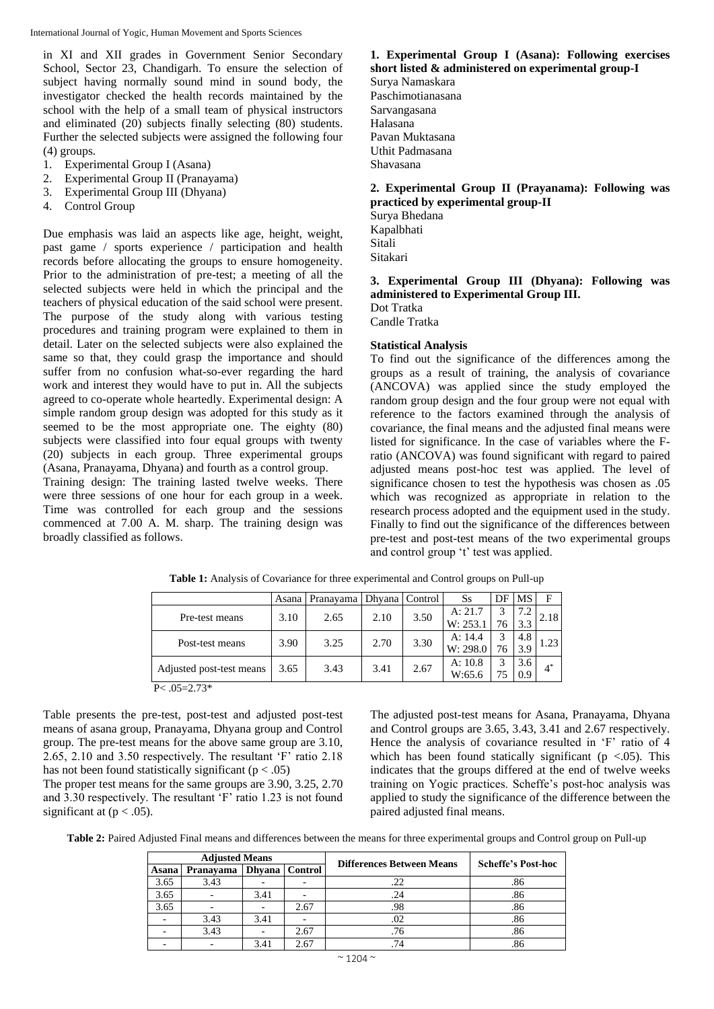International Journal of Yogic, Human Movement and Sports Sciences

in XI and XII grades in Government Senior Secondary School, Sector 23, Chandigarh. To ensure the selection of subject having normally sound mind in sound body, the investigator checked the health records maintained by the school with the help of a small team of physical instructors and eliminated (20) subjects finally selecting (80) students. Further the selected subjects were assigned the following four (4) groups.

- 1. Experimental Group I (Asana)
- 2. Experimental Group II (Pranayama)
- 3. Experimental Group III (Dhyana)
- 4. Control Group

Due emphasis was laid an aspects like age, height, weight, past game / sports experience / participation and health records before allocating the groups to ensure homogeneity. Prior to the administration of pre-test; a meeting of all the selected subjects were held in which the principal and the teachers of physical education of the said school were present. The purpose of the study along with various testing procedures and training program were explained to them in detail. Later on the selected subjects were also explained the same so that, they could grasp the importance and should suffer from no confusion what-so-ever regarding the hard work and interest they would have to put in. All the subjects agreed to co-operate whole heartedly. Experimental design: A simple random group design was adopted for this study as it seemed to be the most appropriate one. The eighty (80) subjects were classified into four equal groups with twenty (20) subjects in each group. Three experimental groups (Asana, Pranayama, Dhyana) and fourth as a control group.

Training design: The training lasted twelve weeks. There were three sessions of one hour for each group in a week. Time was controlled for each group and the sessions commenced at 7.00 A. M. sharp. The training design was broadly classified as follows.

# **1. Experimental Group I (Asana): Following exercises short listed & administered on experimental group-I**

Surya Namaskara Paschimotianasana Sarvangasana Halasana Pavan Muktasana Uthit Padmasana Shavasana

**2. Experimental Group II (Prayanama): Following was practiced by experimental group-II**

Surya Bhedana Kapalbhati Sitali Sitakari

## **3. Experimental Group III (Dhyana): Following was administered to Experimental Group III.** Dot Tratka

Candle Tratka

# **Statistical Analysis**

To find out the significance of the differences among the groups as a result of training, the analysis of covariance (ANCOVA) was applied since the study employed the random group design and the four group were not equal with reference to the factors examined through the analysis of covariance, the final means and the adjusted final means were listed for significance. In the case of variables where the Fratio (ANCOVA) was found significant with regard to paired adjusted means post-hoc test was applied. The level of significance chosen to test the hypothesis was chosen as .05 which was recognized as appropriate in relation to the research process adopted and the equipment used in the study. Finally to find out the significance of the differences between pre-test and post-test means of the two experimental groups and control group 't' test was applied.

|                          | Asana | Pranayama | Dhyana Control |      | Ss       | DF | MS  | F     |
|--------------------------|-------|-----------|----------------|------|----------|----|-----|-------|
| Pre-test means           | 3.10  | 2.65      | 2.10           | 3.50 | A: 21.7  | 3  | 7.2 | 2.18  |
|                          |       |           |                |      | W: 253.  | 76 | 3.3 |       |
| Post-test means          |       | 3.25      | 2.70           | 3.30 | A: 14.4  | 3  | 4.8 | 1.23  |
|                          | 3.90  |           |                |      | W: 298.0 | 76 | 3.9 |       |
|                          |       |           |                |      | A: 10.8  | 3  | 3.6 | $4^*$ |
| Adjusted post-test means | 3.65  | 3.43      | 3.41           | 2.67 | W:65.6   |    | 0.9 |       |
| $P < .05 = 2.73*$        |       |           |                |      |          |    |     |       |

**Table 1:** Analysis of Covariance for three experimental and Control groups on Pull-up

Table presents the pre-test, post-test and adjusted post-test means of asana group, Pranayama, Dhyana group and Control group. The pre-test means for the above same group are 3.10, 2.65, 2.10 and 3.50 respectively. The resultant 'F' ratio 2.18 has not been found statistically significant ( $p < .05$ )

The proper test means for the same groups are 3.90, 3.25, 2.70 and 3.30 respectively. The resultant 'F' ratio 1.23 is not found significant at ( $p < .05$ ).

The adjusted post-test means for Asana, Pranayama, Dhyana and Control groups are 3.65, 3.43, 3.41 and 2.67 respectively. Hence the analysis of covariance resulted in 'F' ratio of 4 which has been found statically significant ( $p \lt 0.05$ ). This indicates that the groups differed at the end of twelve weeks training on Yogic practices. Scheffe's post-hoc analysis was applied to study the significance of the difference between the paired adjusted final means.

Table 2: Paired Adjusted Final means and differences between the means for three experimental groups and Control group on Pull-up

| <b>Adjusted Means</b>               |      |         |                          | <b>Differences Between Means</b> | <b>Scheffe's Post-hoc</b> |  |
|-------------------------------------|------|---------|--------------------------|----------------------------------|---------------------------|--|
| <b>Dhyana</b><br>Pranavama<br>Asana |      | Control |                          |                                  |                           |  |
| 3.65                                | 3.43 |         | -                        | .22                              | .86                       |  |
| 3.65                                |      | 3.41    |                          | .24                              | .86                       |  |
| 3.65                                |      |         | 2.67                     | .98                              | .86                       |  |
|                                     | 3.43 | 3.41    | $\overline{\phantom{0}}$ | .02                              | .86                       |  |
|                                     | 3.43 |         | 2.67                     | .76                              | .86                       |  |
|                                     |      | 3.41    | 2.67                     | .74                              | .86                       |  |